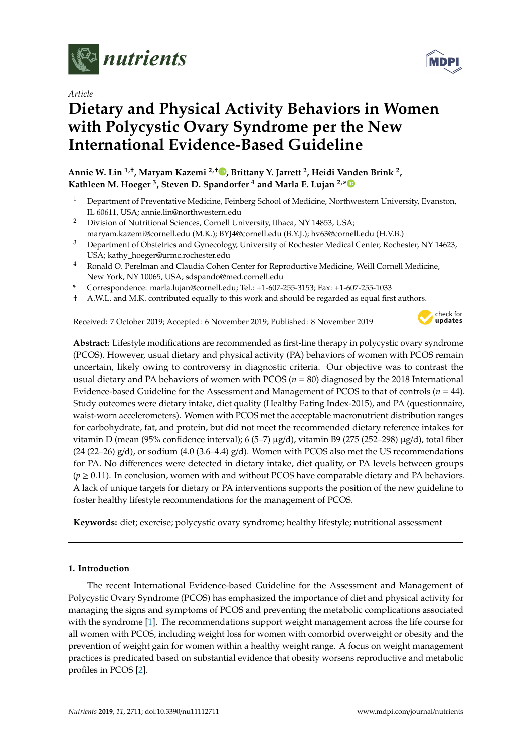

*Article*

# **Dietary and Physical Activity Behaviors in Women with Polycystic Ovary Syndrome per the New International Evidence-Based Guideline**

**Annie W. Lin 1,**† **, Maryam Kazemi 2,**† **[,](https://orcid.org/0000-0001-6001-7208) Brittany Y. Jarrett <sup>2</sup> , Heidi Vanden Brink <sup>2</sup> , Kathleen M. Hoeger <sup>3</sup> , Steven D. Spandorfer <sup>4</sup> and Marla E. Lujan 2,[\\*](https://orcid.org/0000-0002-7203-5814)**

- <sup>1</sup> Department of Preventative Medicine, Feinberg School of Medicine, Northwestern University, Evanston, IL 60611, USA; annie.lin@northwestern.edu
- <sup>2</sup> Division of Nutritional Sciences, Cornell University, Ithaca, NY 14853, USA; maryam.kazemi@cornell.edu (M.K.); BYJ4@cornell.edu (B.Y.J.); hv63@cornell.edu (H.V.B.)
- <sup>3</sup> Department of Obstetrics and Gynecology, University of Rochester Medical Center, Rochester, NY 14623, USA; kathy\_hoeger@urmc.rochester.edu
- <sup>4</sup> Ronald O. Perelman and Claudia Cohen Center for Reproductive Medicine, Weill Cornell Medicine, New York, NY 10065, USA; sdspando@med.cornell.edu
- **\*** Correspondence: marla.lujan@cornell.edu; Tel.: +1-607-255-3153; Fax: +1-607-255-1033
- † A.W.L. and M.K. contributed equally to this work and should be regarded as equal first authors.

Received: 7 October 2019; Accepted: 6 November 2019; Published: 8 November 2019



**Abstract:** Lifestyle modifications are recommended as first-line therapy in polycystic ovary syndrome (PCOS). However, usual dietary and physical activity (PA) behaviors of women with PCOS remain uncertain, likely owing to controversy in diagnostic criteria. Our objective was to contrast the usual dietary and PA behaviors of women with PCOS (*n* = 80) diagnosed by the 2018 International Evidence-based Guideline for the Assessment and Management of PCOS to that of controls (*n* = 44). Study outcomes were dietary intake, diet quality (Healthy Eating Index-2015), and PA (questionnaire, waist-worn accelerometers). Women with PCOS met the acceptable macronutrient distribution ranges for carbohydrate, fat, and protein, but did not meet the recommended dietary reference intakes for vitamin D (mean (95% confidence interval); 6 (5–7) µg/d), vitamin B9 (275 (252–298) µg/d), total fiber  $(24 (22–26) g/d)$ , or sodium  $(4.0 (3.6–4.4) g/d)$ . Women with PCOS also met the US recommendations for PA. No differences were detected in dietary intake, diet quality, or PA levels between groups  $(p \ge 0.11)$ . In conclusion, women with and without PCOS have comparable dietary and PA behaviors. A lack of unique targets for dietary or PA interventions supports the position of the new guideline to foster healthy lifestyle recommendations for the management of PCOS.

**Keywords:** diet; exercise; polycystic ovary syndrome; healthy lifestyle; nutritional assessment

# **1. Introduction**

The recent International Evidence-based Guideline for the Assessment and Management of Polycystic Ovary Syndrome (PCOS) has emphasized the importance of diet and physical activity for managing the signs and symptoms of PCOS and preventing the metabolic complications associated with the syndrome [\[1\]](#page-10-0). The recommendations support weight management across the life course for all women with PCOS, including weight loss for women with comorbid overweight or obesity and the prevention of weight gain for women within a healthy weight range. A focus on weight management practices is predicated based on substantial evidence that obesity worsens reproductive and metabolic profiles in PCOS [\[2\]](#page-10-1).

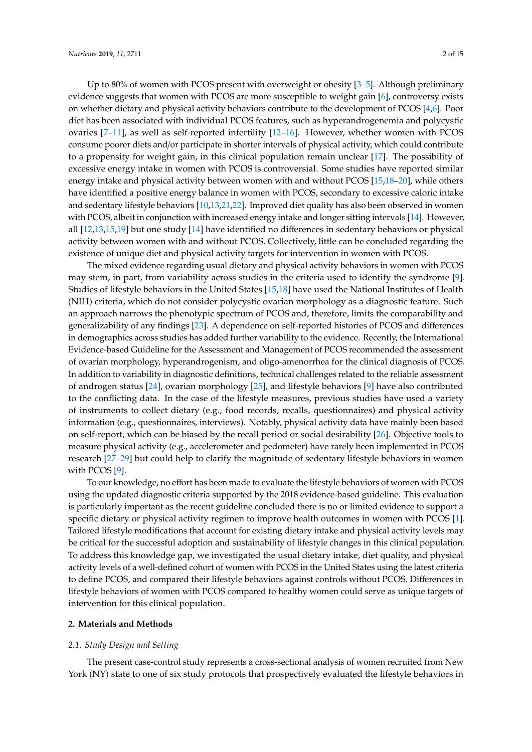Up to 80% of women with PCOS present with overweight or obesity [\[3](#page-10-2)[–5\]](#page-11-0). Although preliminary evidence suggests that women with PCOS are more susceptible to weight gain [\[6\]](#page-11-1), controversy exists on whether dietary and physical activity behaviors contribute to the development of PCOS [\[4,](#page-10-3)[6\]](#page-11-1). Poor diet has been associated with individual PCOS features, such as hyperandrogenemia and polycystic ovaries [\[7–](#page-11-2)[11\]](#page-11-3), as well as self-reported infertility [\[12–](#page-11-4)[16\]](#page-11-5). However, whether women with PCOS consume poorer diets and/or participate in shorter intervals of physical activity, which could contribute to a propensity for weight gain, in this clinical population remain unclear [\[17\]](#page-11-6). The possibility of excessive energy intake in women with PCOS is controversial. Some studies have reported similar energy intake and physical activity between women with and without PCOS [\[15,](#page-11-7)[18](#page-11-8)[–20\]](#page-11-9), while others have identified a positive energy balance in women with PCOS, secondary to excessive caloric intake and sedentary lifestyle behaviors [\[10,](#page-11-10)[13,](#page-11-11)[21](#page-11-12)[,22\]](#page-11-13). Improved diet quality has also been observed in women with PCOS, albeit in conjunction with increased energy intake and longer sitting intervals [\[14\]](#page-11-14). However, all [\[12](#page-11-4)[,13](#page-11-11)[,15](#page-11-7)[,19\]](#page-11-15) but one study [\[14\]](#page-11-14) have identified no differences in sedentary behaviors or physical activity between women with and without PCOS. Collectively, little can be concluded regarding the existence of unique diet and physical activity targets for intervention in women with PCOS.

The mixed evidence regarding usual dietary and physical activity behaviors in women with PCOS may stem, in part, from variability across studies in the criteria used to identify the syndrome [\[9\]](#page-11-16). Studies of lifestyle behaviors in the United States [\[15](#page-11-7)[,18\]](#page-11-8) have used the National Institutes of Health (NIH) criteria, which do not consider polycystic ovarian morphology as a diagnostic feature. Such an approach narrows the phenotypic spectrum of PCOS and, therefore, limits the comparability and generalizability of any findings [\[23\]](#page-12-0). A dependence on self-reported histories of PCOS and differences in demographics across studies has added further variability to the evidence. Recently, the International Evidence-based Guideline for the Assessment and Management of PCOS recommended the assessment of ovarian morphology, hyperandrogenism, and oligo-amenorrhea for the clinical diagnosis of PCOS. In addition to variability in diagnostic definitions, technical challenges related to the reliable assessment of androgen status [\[24\]](#page-12-1), ovarian morphology [\[25\]](#page-12-2), and lifestyle behaviors [\[9\]](#page-11-16) have also contributed to the conflicting data. In the case of the lifestyle measures, previous studies have used a variety of instruments to collect dietary (e.g., food records, recalls, questionnaires) and physical activity information (e.g., questionnaires, interviews). Notably, physical activity data have mainly been based on self-report, which can be biased by the recall period or social desirability [\[26\]](#page-12-3). Objective tools to measure physical activity (e.g., accelerometer and pedometer) have rarely been implemented in PCOS research [\[27–](#page-12-4)[29\]](#page-12-5) but could help to clarify the magnitude of sedentary lifestyle behaviors in women with PCOS [\[9\]](#page-11-16).

To our knowledge, no effort has been made to evaluate the lifestyle behaviors of women with PCOS using the updated diagnostic criteria supported by the 2018 evidence-based guideline. This evaluation is particularly important as the recent guideline concluded there is no or limited evidence to support a specific dietary or physical activity regimen to improve health outcomes in women with PCOS [\[1\]](#page-10-0). Tailored lifestyle modifications that account for existing dietary intake and physical activity levels may be critical for the successful adoption and sustainability of lifestyle changes in this clinical population. To address this knowledge gap, we investigated the usual dietary intake, diet quality, and physical activity levels of a well-defined cohort of women with PCOS in the United States using the latest criteria to define PCOS, and compared their lifestyle behaviors against controls without PCOS. Differences in lifestyle behaviors of women with PCOS compared to healthy women could serve as unique targets of intervention for this clinical population.

## **2. Materials and Methods**

#### *2.1. Study Design and Setting*

The present case-control study represents a cross-sectional analysis of women recruited from New York (NY) state to one of six study protocols that prospectively evaluated the lifestyle behaviors in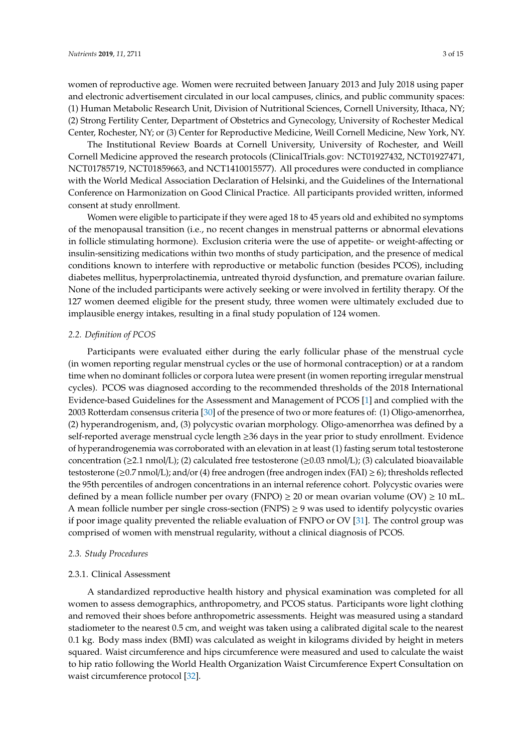women of reproductive age. Women were recruited between January 2013 and July 2018 using paper and electronic advertisement circulated in our local campuses, clinics, and public community spaces: (1) Human Metabolic Research Unit, Division of Nutritional Sciences, Cornell University, Ithaca, NY; (2) Strong Fertility Center, Department of Obstetrics and Gynecology, University of Rochester Medical Center, Rochester, NY; or (3) Center for Reproductive Medicine, Weill Cornell Medicine, New York, NY.

The Institutional Review Boards at Cornell University, University of Rochester, and Weill Cornell Medicine approved the research protocols (ClinicalTrials.gov: NCT01927432, NCT01927471, NCT01785719, NCT01859663, and NCT1410015577). All procedures were conducted in compliance with the World Medical Association Declaration of Helsinki, and the Guidelines of the International Conference on Harmonization on Good Clinical Practice. All participants provided written, informed consent at study enrollment.

Women were eligible to participate if they were aged 18 to 45 years old and exhibited no symptoms of the menopausal transition (i.e., no recent changes in menstrual patterns or abnormal elevations in follicle stimulating hormone). Exclusion criteria were the use of appetite- or weight-affecting or insulin-sensitizing medications within two months of study participation, and the presence of medical conditions known to interfere with reproductive or metabolic function (besides PCOS), including diabetes mellitus, hyperprolactinemia, untreated thyroid dysfunction, and premature ovarian failure. None of the included participants were actively seeking or were involved in fertility therapy. Of the 127 women deemed eligible for the present study, three women were ultimately excluded due to implausible energy intakes, resulting in a final study population of 124 women.

#### *2.2. Definition of PCOS*

Participants were evaluated either during the early follicular phase of the menstrual cycle (in women reporting regular menstrual cycles or the use of hormonal contraception) or at a random time when no dominant follicles or corpora lutea were present (in women reporting irregular menstrual cycles). PCOS was diagnosed according to the recommended thresholds of the 2018 International Evidence-based Guidelines for the Assessment and Management of PCOS [\[1\]](#page-10-0) and complied with the 2003 Rotterdam consensus criteria [\[30\]](#page-12-6) of the presence of two or more features of: (1) Oligo-amenorrhea, (2) hyperandrogenism, and, (3) polycystic ovarian morphology. Oligo-amenorrhea was defined by a self-reported average menstrual cycle length ≥36 days in the year prior to study enrollment. Evidence of hyperandrogenemia was corroborated with an elevation in at least (1) fasting serum total testosterone concentration ( $\geq$ 2.1 nmol/L); (2) calculated free testosterone ( $\geq$ 0.03 nmol/L); (3) calculated bioavailable testosterone (≥0.7 nmol/L); and/or (4) free androgen (free androgen index (FAI) ≥ 6); thresholds reflected the 95th percentiles of androgen concentrations in an internal reference cohort. Polycystic ovaries were defined by a mean follicle number per ovary (FNPO)  $\geq$  20 or mean ovarian volume (OV)  $\geq$  10 mL. A mean follicle number per single cross-section (FNPS)  $\geq$  9 was used to identify polycystic ovaries if poor image quality prevented the reliable evaluation of FNPO or OV [\[31\]](#page-12-7). The control group was comprised of women with menstrual regularity, without a clinical diagnosis of PCOS.

# *2.3. Study Procedures*

## 2.3.1. Clinical Assessment

A standardized reproductive health history and physical examination was completed for all women to assess demographics, anthropometry, and PCOS status. Participants wore light clothing and removed their shoes before anthropometric assessments. Height was measured using a standard stadiometer to the nearest 0.5 cm, and weight was taken using a calibrated digital scale to the nearest 0.1 kg. Body mass index (BMI) was calculated as weight in kilograms divided by height in meters squared. Waist circumference and hips circumference were measured and used to calculate the waist to hip ratio following the World Health Organization Waist Circumference Expert Consultation on waist circumference protocol [\[32\]](#page-12-8).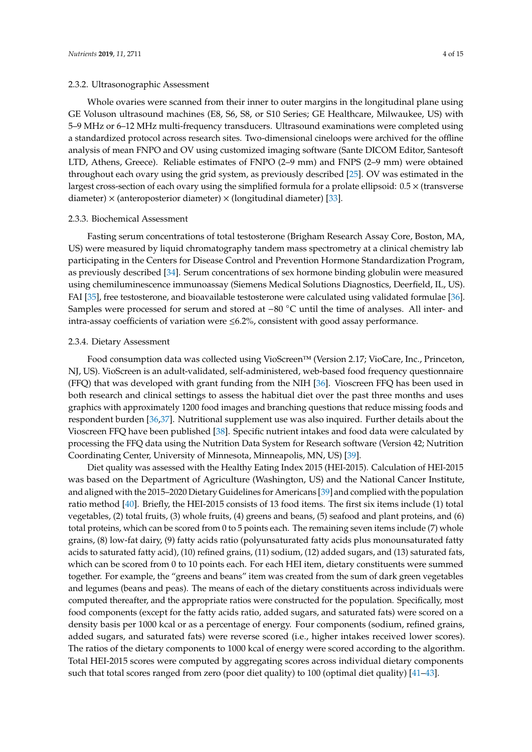## 2.3.2. Ultrasonographic Assessment

Whole ovaries were scanned from their inner to outer margins in the longitudinal plane using GE Voluson ultrasound machines (E8, S6, S8, or S10 Series; GE Healthcare, Milwaukee, US) with 5–9 MHz or 6–12 MHz multi-frequency transducers. Ultrasound examinations were completed using a standardized protocol across research sites. Two-dimensional cineloops were archived for the offline analysis of mean FNPO and OV using customized imaging software (Sante DICOM Editor, Santesoft LTD, Athens, Greece). Reliable estimates of FNPO (2–9 mm) and FNPS (2–9 mm) were obtained throughout each ovary using the grid system, as previously described [\[25\]](#page-12-2). OV was estimated in the largest cross-section of each ovary using the simplified formula for a prolate ellipsoid: 0.5 × (transverse diameter)  $\times$  (anteroposterior diameter)  $\times$  (longitudinal diameter) [\[33\]](#page-12-9).

#### 2.3.3. Biochemical Assessment

Fasting serum concentrations of total testosterone (Brigham Research Assay Core, Boston, MA, US) were measured by liquid chromatography tandem mass spectrometry at a clinical chemistry lab participating in the Centers for Disease Control and Prevention Hormone Standardization Program, as previously described [\[34\]](#page-12-10). Serum concentrations of sex hormone binding globulin were measured using chemiluminescence immunoassay (Siemens Medical Solutions Diagnostics, Deerfield, IL, US). FAI [\[35\]](#page-12-11), free testosterone, and bioavailable testosterone were calculated using validated formulae [\[36\]](#page-12-12). Samples were processed for serum and stored at −80 ◦C until the time of analyses. All inter- and intra-assay coefficients of variation were  $\leq 6.2\%$ , consistent with good assay performance.

#### 2.3.4. Dietary Assessment

Food consumption data was collected using VioScreen™ (Version 2.17; VioCare, Inc., Princeton, NJ, US). VioScreen is an adult-validated, self-administered, web-based food frequency questionnaire (FFQ) that was developed with grant funding from the NIH [\[36\]](#page-12-12). Vioscreen FFQ has been used in both research and clinical settings to assess the habitual diet over the past three months and uses graphics with approximately 1200 food images and branching questions that reduce missing foods and respondent burden [\[36](#page-12-12)[,37\]](#page-12-13). Nutritional supplement use was also inquired. Further details about the Vioscreen FFQ have been published [\[38\]](#page-12-14). Specific nutrient intakes and food data were calculated by processing the FFQ data using the Nutrition Data System for Research software (Version 42; Nutrition Coordinating Center, University of Minnesota, Minneapolis, MN, US) [\[39\]](#page-12-15).

Diet quality was assessed with the Healthy Eating Index 2015 (HEI-2015). Calculation of HEI-2015 was based on the Department of Agriculture (Washington, US) and the National Cancer Institute, and aligned with the 2015–2020 Dietary Guidelines for Americans [\[39\]](#page-12-15) and complied with the population ratio method [\[40\]](#page-12-16). Briefly, the HEI-2015 consists of 13 food items. The first six items include (1) total vegetables, (2) total fruits, (3) whole fruits, (4) greens and beans, (5) seafood and plant proteins, and (6) total proteins, which can be scored from 0 to 5 points each. The remaining seven items include (7) whole grains, (8) low-fat dairy, (9) fatty acids ratio (polyunsaturated fatty acids plus monounsaturated fatty acids to saturated fatty acid), (10) refined grains, (11) sodium, (12) added sugars, and (13) saturated fats, which can be scored from 0 to 10 points each. For each HEI item, dietary constituents were summed together. For example, the "greens and beans" item was created from the sum of dark green vegetables and legumes (beans and peas). The means of each of the dietary constituents across individuals were computed thereafter, and the appropriate ratios were constructed for the population. Specifically, most food components (except for the fatty acids ratio, added sugars, and saturated fats) were scored on a density basis per 1000 kcal or as a percentage of energy. Four components (sodium, refined grains, added sugars, and saturated fats) were reverse scored (i.e., higher intakes received lower scores). The ratios of the dietary components to 1000 kcal of energy were scored according to the algorithm. Total HEI-2015 scores were computed by aggregating scores across individual dietary components such that total scores ranged from zero (poor diet quality) to 100 (optimal diet quality) [\[41](#page-12-17)[–43\]](#page-13-0).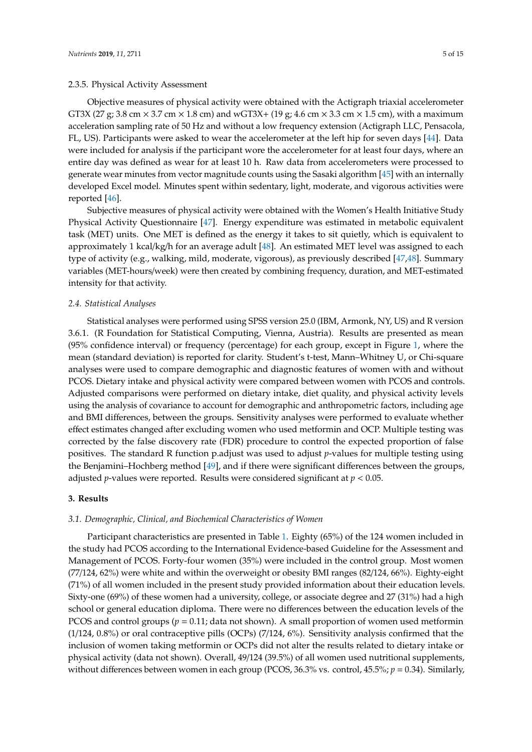Objective measures of physical activity were obtained with the Actigraph triaxial accelerometer GT3X (27 g; 3.8 cm  $\times$  3.7 cm  $\times$  1.8 cm) and wGT3X+ (19 g; 4.6 cm  $\times$  3.3 cm  $\times$  1.5 cm), with a maximum acceleration sampling rate of 50 Hz and without a low frequency extension (Actigraph LLC, Pensacola, FL, US). Participants were asked to wear the accelerometer at the left hip for seven days [\[44\]](#page-13-1). Data were included for analysis if the participant wore the accelerometer for at least four days, where an entire day was defined as wear for at least 10 h. Raw data from accelerometers were processed to generate wear minutes from vector magnitude counts using the Sasaki algorithm [\[45\]](#page-13-2) with an internally developed Excel model. Minutes spent within sedentary, light, moderate, and vigorous activities were reported [\[46\]](#page-13-3).

Subjective measures of physical activity were obtained with the Women's Health Initiative Study Physical Activity Questionnaire [\[47\]](#page-13-4). Energy expenditure was estimated in metabolic equivalent task (MET) units. One MET is defined as the energy it takes to sit quietly, which is equivalent to approximately 1 kcal/kg/h for an average adult  $[48]$ . An estimated MET level was assigned to each type of activity (e.g., walking, mild, moderate, vigorous), as previously described [\[47](#page-13-4)[,48\]](#page-13-5). Summary variables (MET-hours/week) were then created by combining frequency, duration, and MET-estimated intensity for that activity.

## *2.4. Statistical Analyses*

Statistical analyses were performed using SPSS version 25.0 (IBM, Armonk, NY, US) and R version 3.6.1. (R Foundation for Statistical Computing, Vienna, Austria). Results are presented as mean (95% confidence interval) or frequency (percentage) for each group, except in Figure [1,](#page-7-0) where the mean (standard deviation) is reported for clarity. Student's t-test, Mann–Whitney U, or Chi-square analyses were used to compare demographic and diagnostic features of women with and without PCOS. Dietary intake and physical activity were compared between women with PCOS and controls. Adjusted comparisons were performed on dietary intake, diet quality, and physical activity levels using the analysis of covariance to account for demographic and anthropometric factors, including age and BMI differences, between the groups. Sensitivity analyses were performed to evaluate whether effect estimates changed after excluding women who used metformin and OCP. Multiple testing was corrected by the false discovery rate (FDR) procedure to control the expected proportion of false positives. The standard R function p.adjust was used to adjust *p*-values for multiple testing using the Benjamini–Hochberg method [\[49\]](#page-13-6), and if there were significant differences between the groups, adjusted *p*-values were reported. Results were considered significant at *p* < 0.05.

# **3. Results**

## *3.1. Demographic, Clinical, and Biochemical Characteristics of Women*

Participant characteristics are presented in Table [1.](#page-5-0) Eighty (65%) of the 124 women included in the study had PCOS according to the International Evidence-based Guideline for the Assessment and Management of PCOS. Forty-four women (35%) were included in the control group. Most women (77/124, 62%) were white and within the overweight or obesity BMI ranges (82/124, 66%). Eighty-eight (71%) of all women included in the present study provided information about their education levels. Sixty-one (69%) of these women had a university, college, or associate degree and 27 (31%) had a high school or general education diploma. There were no differences between the education levels of the PCOS and control groups (*p* = 0.11; data not shown). A small proportion of women used metformin (1/124, 0.8%) or oral contraceptive pills (OCPs) (7/124, 6%). Sensitivity analysis confirmed that the inclusion of women taking metformin or OCPs did not alter the results related to dietary intake or physical activity (data not shown). Overall, 49/124 (39.5%) of all women used nutritional supplements, without differences between women in each group (PCOS, 36.3% vs. control, 45.5%; *p* = 0.34). Similarly,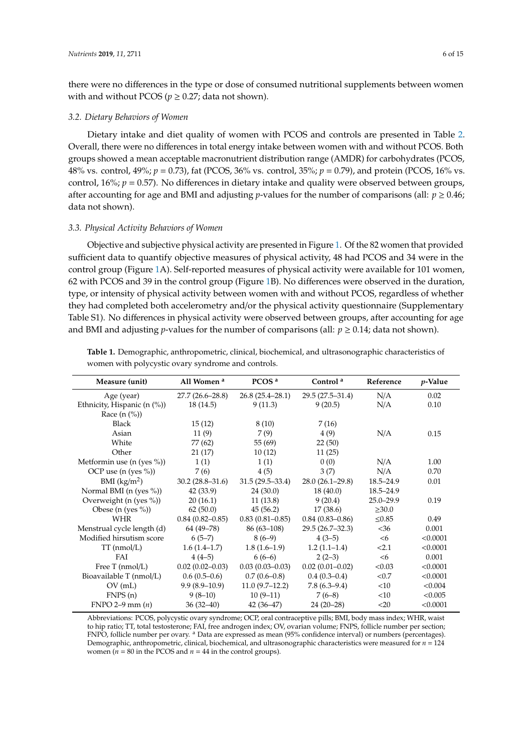there were no differences in the type or dose of consumed nutritional supplements between women with and without PCOS ( $p \ge 0.27$ ; data not shown).

## *3.2. Dietary Behaviors of Women*

Dietary intake and diet quality of women with PCOS and controls are presented in Table [2.](#page-6-0) Overall, there were no differences in total energy intake between women with and without PCOS. Both groups showed a mean acceptable macronutrient distribution range (AMDR) for carbohydrates (PCOS, 48% vs. control, 49%; *p* = 0.73), fat (PCOS, 36% vs. control, 35%; *p* = 0.79), and protein (PCOS, 16% vs. control, 16%; *p* = 0.57). No differences in dietary intake and quality were observed between groups, after accounting for age and BMI and adjusting *p*-values for the number of comparisons (all:  $p \ge 0.46$ ; data not shown).

## *3.3. Physical Activity Behaviors of Women*

Objective and subjective physical activity are presented in Figure [1.](#page-7-0) Of the 82 women that provided sufficient data to quantify objective measures of physical activity, 48 had PCOS and 34 were in the control group (Figure [1A](#page-7-0)). Self-reported measures of physical activity were available for 101 women, 62 with PCOS and 39 in the control group (Figure [1B](#page-7-0)). No differences were observed in the duration, type, or intensity of physical activity between women with and without PCOS, regardless of whether they had completed both accelerometry and/or the physical activity questionnaire (Supplementary Table S1). No differences in physical activity were observed between groups, after accounting for age and BMI and adjusting *p*-values for the number of comparisons (all:  $p \ge 0.14$ ; data not shown).

| Measure (unit)                   | All Women <sup>a</sup> | PCOS $a$            | Control <sup>a</sup> | Reference     | <i>p</i> -Value |
|----------------------------------|------------------------|---------------------|----------------------|---------------|-----------------|
| Age (year)                       | $27.7(26.6-28.8)$      | $26.8(25.4-28.1)$   | $29.5(27.5-31.4)$    | N/A           | 0.02            |
| Ethnicity, Hispanic $(n \ (\%))$ | 18 (14.5)              | 9(11.3)             | 9(20.5)              | N/A           | 0.10            |
| Race $(n \ (\%)$                 |                        |                     |                      |               |                 |
| <b>Black</b>                     | 15(12)                 | 8(10)               | 7(16)                |               |                 |
| Asian                            | 11(9)                  | 7 (9)               | 4 (9)                | N/A           | 0.15            |
| White                            | 77 (62)                | 55(69)              | 22(50)               |               |                 |
| Other                            | 21(17)                 | 10(12)              | 11(25)               |               |                 |
| Metformin use $(n$ (yes $\%)$ )  | 1(1)                   | 1(1)                | 0(0)                 | N/A           | 1.00            |
| OCP use $(n$ (yes $\%)$ )        | 7 (6)                  | 4(5)                | 3(7)                 | N/A           | 0.70            |
| BMI $(kg/m2)$                    | $30.2(28.8-31.6)$      | $31.5(29.5 - 33.4)$ | $28.0(26.1-29.8)$    | $18.5 - 24.9$ | 0.01            |
| Normal BMI (n (yes $\%)$ )       | 42(33.9)               | 24(30.0)            | 18(40.0)             | $18.5 - 24.9$ |                 |
| Overweight (n (yes %))           | 20(16.1)               | 11(13.8)            | 9(20.4)              | $25.0 - 29.9$ | 0.19            |
| Obese (n (yes $\%$ ))            | 62(50.0)               | 45(56.2)            | 17(38.6)             | $\geq 30.0$   |                 |
| <b>WHR</b>                       | $0.84(0.82 - 0.85)$    | $0.83(0.81 - 0.85)$ | $0.84(0.83 - 0.86)$  | $\leq 0.85$   | 0.49            |
| Menstrual cycle length (d)       | 64 (49-78)             | $86(63-108)$        | 29.5 (26.7-32.3)     | $<$ 36        | 0.001           |
| Modified hirsutism score         | $6(5-7)$               | $8(6-9)$            | $4(3-5)$             | <6            | < 0.0001        |
| $TT$ (nmol/L)                    | $1.6(1.4-1.7)$         | $1.8(1.6-1.9)$      | $1.2(1.1-1.4)$       | 2.1           | < 0.0001        |
| FAI                              | $4(4-5)$               | $6(6-6)$            | $2(2-3)$             | <6            | 0.001           |
| Free $T$ (nmol/L)                | $0.02(0.02-0.03)$      | $0.03(0.03-0.03)$   | $0.02(0.01 - 0.02)$  | < 0.03        | < 0.0001        |
| Bioavailable T (nmol/L)          | $0.6(0.5-0.6)$         | $0.7(0.6-0.8)$      | $0.4(0.3-0.4)$       | < 0.7         | < 0.0001        |
| OV(mL)                           | $9.9(8.9-10.9)$        | $11.0(9.7-12.2)$    | $7.8(6.3-9.4)$       | <10           | < 0.004         |
| FNPS(n)                          | $9(8-10)$              | $10(9-11)$          | $7(6-8)$             | <10           | < 0.005         |
| $FNPO 2-9 mm (n)$                | $36(32-40)$            | $42(36-47)$         | $24(20-28)$          | $<$ 20        | < 0.0001        |

<span id="page-5-0"></span>**Table 1.** Demographic, anthropometric, clinical, biochemical, and ultrasonographic characteristics of women with polycystic ovary syndrome and controls.

Abbreviations: PCOS, polycystic ovary syndrome; OCP, oral contraceptive pills; BMI, body mass index; WHR, waist to hip ratio; TT, total testosterone; FAI, free androgen index; OV, ovarian volume; FNPS, follicle number per section; FNPO, follicle number per ovary. <sup>a</sup> Data are expressed as mean (95% confidence interval) or numbers (percentages). Demographic, anthropometric, clinical, biochemical, and ultrasonographic characteristics were measured for *n* = 124 women ( $n = 80$  in the PCOS and  $n = 44$  in the control groups).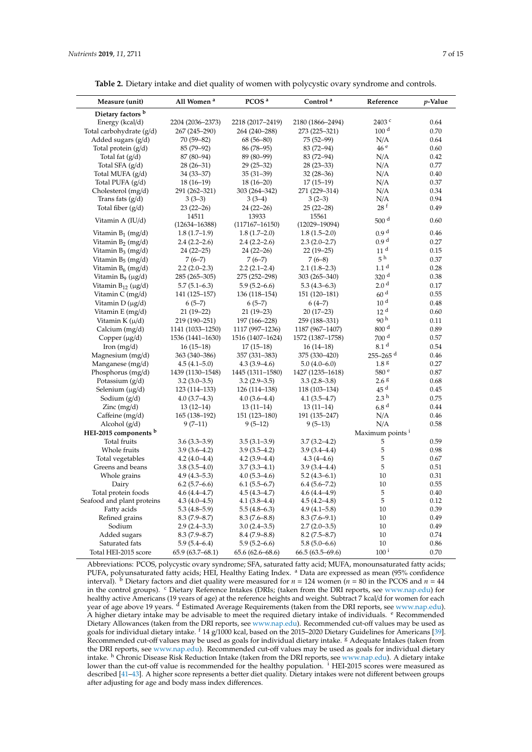<span id="page-6-0"></span>

| Measure (unit)                | All Women <sup>a</sup> | PCOS <sup>a</sup>   | Control <sup>a</sup> | Reference                   | $p$ -Value |
|-------------------------------|------------------------|---------------------|----------------------|-----------------------------|------------|
| Dietary factors <sup>b</sup>  |                        |                     |                      |                             |            |
| Energy (kcal/d)               | 2204 (2036-2373)       | 2218 (2017-2419)    | 2180 (1866-2494)     | 2403 <sup>c</sup>           | 0.64       |
| Total carbohydrate (g/d)      | 267 (245-290)          | 264 (240-288)       | 273 (225-321)        | 100 <sup>d</sup>            | 0.70       |
| Added sugars (g/d)            | 70 (59-82)             | $68(56 - 80)$       | 75 (52-99)           | N/A                         | 0.64       |
| Total protein $(g/d)$         | 85 (79-92)             | 86 (78-95)          | 83 (72-94)           | 46 <sup>e</sup>             | 0.60       |
| Total fat $(g/d)$             | 87 (80-94)             | 89 (80-99)          | 83 (72-94)           | N/A                         | 0.42       |
| Total SFA $(g/d)$             | $28(26-31)$            | $29(25-32)$         | $28(23-33)$          | N/A                         | 0.77       |
| Total MUFA (g/d)              | 34 (33-37)             | $35(31-39)$         | $32(28-36)$          | N/A                         | 0.40       |
| Total PUFA $(g/d)$            | $18(16-19)$            | $18(16-20)$         | $17(15-19)$          | N/A                         | 0.37       |
| Cholesterol (mg/d)            | 291 (262-321)          | 303 (264-342)       | 271 (229-314)        | N/A                         | 0.34       |
| Trans fats $(g/d)$            | $3(3-3)$               | $3(3-4)$            | $3(2-3)$             | N/A                         | 0.94       |
| Total fiber $(g/d)$           | $23(22-26)$            | $24(22-26)$         | $25(22-28)$          | 28f                         | 0.49       |
| Vitamin A (IU/d)              | 14511                  | 13933               | 15561                | 500 $d$                     | 0.60       |
|                               | $(12634 - 16388)$      | $(117167 - 16150)$  | $(12029 - 19094)$    |                             |            |
| Vitamin $B_1$ (mg/d)          | $1.8(1.7-1.9)$         | $1.8(1.7-2.0)$      | $1.8(1.5-2.0)$       | 0.9 <sup>d</sup>            | 0.46       |
| Vitamin $B_2$ (mg/d)          | $2.4(2.2-2.6)$         | $2.4(2.2 - 2.6)$    | $2.3(2.0-2.7)$       | 0.9 <sup>d</sup>            | 0.27       |
| Vitamin $B_3$ (mg/d)          | $24(22-25)$            | $24(22-26)$         | $22(19-25)$          | 11 <sup>d</sup>             | 0.15       |
| Vitamin $B_5$ (mg/d)          | $7(6-7)$               | $7(6-7)$            | $7(6-8)$             | $5\,^{\rm h}$               | 0.37       |
| Vitamin $B_6$ (mg/d)          | $2.2(2.0-2.3)$         | $2.2(2.1-2.4)$      | $2.1(1.8-2.3)$       | 1.1 <sup>d</sup>            | 0.28       |
| Vitamin $B_9$ ( $\mu$ g/d)    | 285 (265-305)          | 275 (252-298)       | 303 (265-340)        | 320 <sup>d</sup>            | 0.38       |
| Vitamin $B_{12}$ ( $\mu$ g/d) | $5.7(5.1-6.3)$         | $5.9(5.2 - 6.6)$    | $5.3(4.3-6.3)$       | 2.0 <sup>d</sup>            | 0.17       |
| Vitamin C (mg/d)              | 141 (125-157)          | 136 (118-154)       | 151 (120-181)        | 60 <sup>d</sup>             | 0.55       |
| Vitamin $D(\mu g/d)$          | $6(5-7)$               | $6(5-7)$            | $6(4-7)$             | 10 <sup>d</sup>             | 0.48       |
| Vitamin E (mg/d)              | $21(19-22)$            | $21(19-23)$         | $20(17-23)$          | 12 <sup>d</sup>             | 0.60       |
| Vitamin K $(\mu/d)$           | 219 (190-251)          | 197 (166-228)       | 259 (188-331)        | 90 <sup>h</sup>             | 0.11       |
| Calcium (mg/d)                | 1141 (1033-1250)       | 1117 (997-1236)     | 1187 (967-1407)      | 800 <sup>d</sup>            | 0.89       |
| Copper $(\mu g/d)$            | 1536 (1441-1630)       | 1516 (1407-1624)    | 1572 (1387-1758)     | 700 <sup>d</sup>            | 0.57       |
| Iron $(mg/d)$                 | $16(15-18)$            | $17(15-18)$         | $16(14-18)$          | 8.1 <sup>d</sup>            | 0.54       |
| Magnesium (mg/d)              | 363 (340-386)          | 357 (331-383)       | 375 (330-420)        | $255 - 265$ <sup>d</sup>    | 0.46       |
| Manganese (mg/d)              | $4.5(4.1-5.0)$         | $4.3(3.9-4.6)$      | $5.0(4.0-6.0)$       | 1.8 <sup>g</sup>            | 0.27       |
| Phosphorus (mg/d)             | 1439 (1130-1548)       | 1445 (1311-1580)    | 1427 (1235-1618)     | 580 <sup>e</sup>            | 0.87       |
| Potassium $(g/d)$             | $3.2(3.0-3.5)$         | $3.2(2.9-3.5)$      | $3.3(2.8-3.8)$       | 2.6 <sup>g</sup>            | 0.68       |
| Selenium $(\mu g/d)$          | 123 (114–133)          | 126 (114-138)       | 118 (103-134)        | 45 <sup>d</sup>             | 0.45       |
| Sodium $(g/d)$                | $4.0(3.7-4.3)$         | $4.0(3.6-4.4)$      | $4.1(3.5-4.7)$       | 2.3 <sup>h</sup>            | 0.75       |
| Zinc $(mg/d)$                 | $13(12-14)$            | $13(11-14)$         | $13(11-14)$          | 6.8 <sup>d</sup>            | 0.44       |
| Caffeine (mg/d)               | 165 (138-192)          | 151 (123-180)       | 191 (135-247)        | N/A                         | 0.46       |
| Alcohol (g/d)                 | $9(7-11)$              | $9(5-12)$           | $9(5-13)$            | N/A                         | 0.58       |
| HEI-2015 components b         |                        |                     |                      | Maximum points <sup>1</sup> |            |
| <b>Total fruits</b>           | $3.6(3.3-3.9)$         | $3.5(3.1 - 3.9)$    | $3.7(3.2 - 4.2)$     | 5                           | 0.59       |
| Whole fruits                  | $3.9(3.6-4.2)$         | $3.9(3.5-4.2)$      | $3.9(3.4 - 4.4)$     | 5                           | 0.98       |
| Total vegetables              | $4.2(4.0-4.4)$         | $4.2(3.9-4.4)$      | $4.3(4-4.6)$         | 5                           | 0.67       |
| Greens and beans              | $3.8(3.5-4.0)$         | $3.7(3.3-4.1)$      | $3.9(3.4 - 4.4)$     | 5                           | 0.51       |
| Whole grains                  | $4.9(4.3-5.3)$         | $4.0(5.3-4.6)$      | $5.2(4.3-6.1)$       | 10                          | 0.31       |
| Dairy                         | $6.2(5.7-6.6)$         | $6.1(5.5-6.7)$      | $6.4(5.6 - 7.2)$     | 10                          | 0.55       |
| Total protein foods           | $4.6(4.4 - 4.7)$       | $4.5(4.3-4.7)$      | $4.6(4.4-4.9)$       | 5                           | 0.40       |
| Seafood and plant proteins    | $4.3(4.0-4.5)$         | $4.1(3.8-4.4)$      | $4.5(4.2 - 4.8)$     | 5                           | 0.12       |
| Fatty acids                   | $5.3(4.8-5.9)$         | $5.5(4.8-6.3)$      | $4.9(4.1 - 5.8)$     | 10                          | 0.39       |
| Refined grains                | $8.3(7.9 - 8.7)$       | $8.3(7.6 - 8.8)$    | $8.3(7.6-9.1)$       | 10                          | 0.49       |
| Sodium                        | $2.9(2.4-3.3)$         | $3.0(2.4-3.5)$      | $2.7(2.0-3.5)$       | 10                          | 0.49       |
| Added sugars                  | $8.3(7.9 - 8.7)$       | $8.4(7.9 - 8.8)$    | $8.2(7.5 - 8.7)$     | 10                          | 0.74       |
| Saturated fats                | $5.9(5.4 - 6.4)$       | $5.9(5.2 - 6.6)$    | $5.8(5.0-6.6)$       | 10                          | 0.86       |
| Total HEI-2015 score          | $65.9(63.7 - 68.1)$    | $65.6(62.6 - 68.6)$ | $66.5(63.5-69.6)$    | $100$ $^{\rm i}$            | 0.70       |

Abbreviations: PCOS, polycystic ovary syndrome; SFA, saturated fatty acid; MUFA, monounsaturated fatty acids; PUFA, polyunsaturated fatty acids; HEI, Healthy Eating Index. <sup>a</sup> Data are expressed as mean (95% confidence interval). <sup>b</sup> Dietary factors and diet quality were measured for  $n = 124$  women ( $n = 80$  in the PCOS and  $n = 44$ in the control groups). <sup>c</sup> Dietary Reference Intakes (DRIs; (taken from the DRI reports, see [www.nap.edu\)](www.nap.edu) for healthy active Americans (19 years of age) at the reference heights and weight. Subtract 7 kcal/d for women for each year of age above 19 years. <sup>d</sup> Estimated Average Requirements (taken from the DRI reports, see [www.nap.edu\)](www.nap.edu). A higher dietary intake may be advisable to meet the required dietary intake of individuals. <sup>e</sup> Recommended Dietary Allowances (taken from the DRI reports, see [www.nap.edu\)](www.nap.edu). Recommended cut-off values may be used as goals for individual dietary intake. <sup>f</sup> 14 g/1000 kcal, based on the 2015–2020 Dietary Guidelines for Americans [\[39\]](#page-12-15). Recommended cut-off values may be used as goals for individual dietary intake. <sup>g</sup> Adequate Intakes (taken from the DRI reports, see [www.nap.edu\)](www.nap.edu). Recommended cut-off values may be used as goals for individual dietary intake. <sup>h</sup> Chronic Disease Risk Reduction Intake (taken from the DRI reports, see [www.nap.edu\)](www.nap.edu). A dietary intake lower than the cut-off value is recommended for the healthy population. <sup>i</sup> HEI-2015 scores were measured as described [\[41–](#page-12-17)[43\]](#page-13-0). A higher score represents a better diet quality. Dietary intakes were not different between groups after adjusting for age and body mass index differences.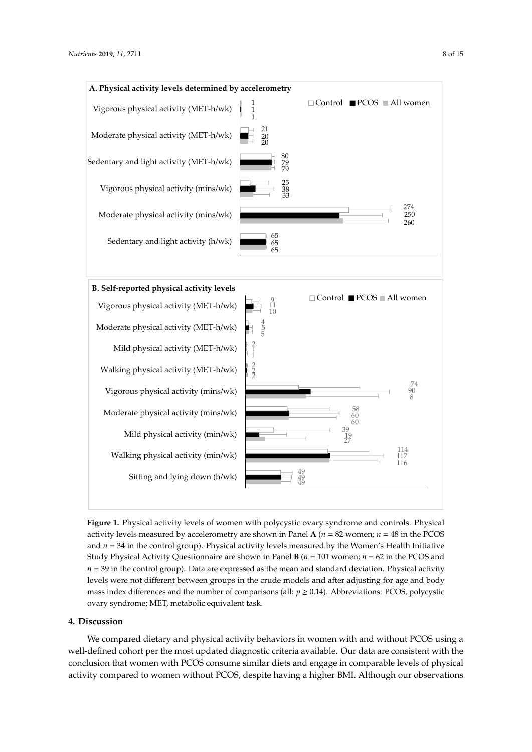<span id="page-7-0"></span>

**Figure 1.** Physical activity levels of women with polycystic ovary syndrome and controls. Physical **Figure 1.** Physical activity levels of women with polycystic ovary syndrome and controls. Physical activity levels measured by accelerometry are shown in Panel  $A$  ( $n = 82$  women;  $n = 48$  in the PCOS and *n* = 34 in the control group). Physical activity levels measured by the Women's Health Initiative and *n* = 34 in the control group). Physical activity levels measured by the Women's Health Initiative Study Physical Activity Questionnaire are shown in Panel  $\bf{B}$  ( $n = 101$  women;  $n = 62$  in the PCOS and *n* = 39 in the control group). Data are expressed as the mean and standard deviation. Physical activity *n* = 39 in the control group). Data are expressed as the mean and standard deviation. Physical activity levels were not different between groups in the crude models and after adjusting for age and body levels were not different between groups in the crude models and after adjusting for age and body mass index differences and the number of comparisons (all: *p* ≥ 0.14). Abbreviations: PCOS, polycystic mass index differences and the number of comparisons (all: *p* ≥ 0.14). Abbreviations: PCOS, polycystic ovary syndrome; MET, metabolic equivalent task. ovary syndrome; MET, metabolic equivalent task.

# **4. Discussion**

We compared dietary and physical activity behaviors in women with and without PCOS using a well-defined cohort per the most updated diagnostic criteria available. Our data are consistent with the conclusion that women with PCOS consume similar diets and engage in comparable levels of physical activity compared to women without PCOS, despite having a higher BMI. Although our observations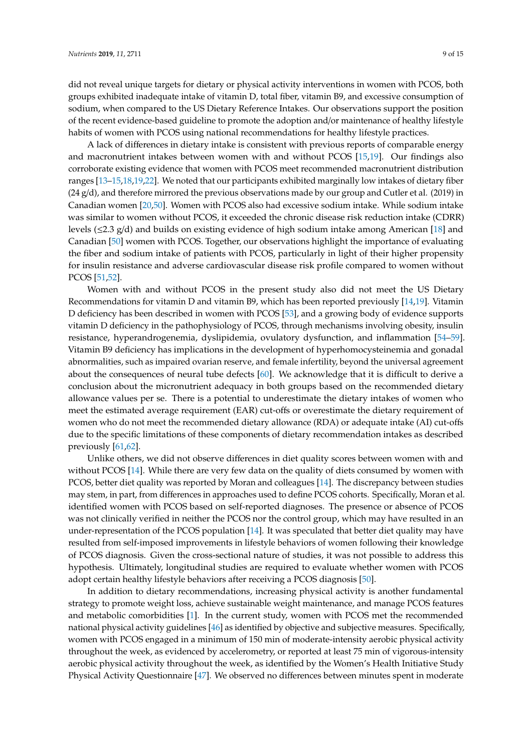did not reveal unique targets for dietary or physical activity interventions in women with PCOS, both groups exhibited inadequate intake of vitamin D, total fiber, vitamin B9, and excessive consumption of sodium, when compared to the US Dietary Reference Intakes. Our observations support the position of the recent evidence-based guideline to promote the adoption and/or maintenance of healthy lifestyle habits of women with PCOS using national recommendations for healthy lifestyle practices.

A lack of differences in dietary intake is consistent with previous reports of comparable energy and macronutrient intakes between women with and without PCOS [\[15](#page-11-7)[,19\]](#page-11-15). Our findings also corroborate existing evidence that women with PCOS meet recommended macronutrient distribution ranges [\[13](#page-11-11)[–15,](#page-11-7)[18,](#page-11-8)[19](#page-11-15)[,22\]](#page-11-13). We noted that our participants exhibited marginally low intakes of dietary fiber (24 g/d), and therefore mirrored the previous observations made by our group and Cutler et al. (2019) in Canadian women [\[20](#page-11-9)[,50\]](#page-13-7). Women with PCOS also had excessive sodium intake. While sodium intake was similar to women without PCOS, it exceeded the chronic disease risk reduction intake (CDRR) levels (≤2.3 g/d) and builds on existing evidence of high sodium intake among American [\[18\]](#page-11-8) and Canadian [\[50\]](#page-13-7) women with PCOS. Together, our observations highlight the importance of evaluating the fiber and sodium intake of patients with PCOS, particularly in light of their higher propensity for insulin resistance and adverse cardiovascular disease risk profile compared to women without PCOS [\[51](#page-13-8)[,52\]](#page-13-9).

Women with and without PCOS in the present study also did not meet the US Dietary Recommendations for vitamin D and vitamin B9, which has been reported previously [\[14,](#page-11-14)[19\]](#page-11-15). Vitamin D deficiency has been described in women with PCOS [\[53\]](#page-13-10), and a growing body of evidence supports vitamin D deficiency in the pathophysiology of PCOS, through mechanisms involving obesity, insulin resistance, hyperandrogenemia, dyslipidemia, ovulatory dysfunction, and inflammation [\[54–](#page-13-11)[59\]](#page-13-12). Vitamin B9 deficiency has implications in the development of hyperhomocysteinemia and gonadal abnormalities, such as impaired ovarian reserve, and female infertility, beyond the universal agreement about the consequences of neural tube defects [\[60\]](#page-13-13). We acknowledge that it is difficult to derive a conclusion about the micronutrient adequacy in both groups based on the recommended dietary allowance values per se. There is a potential to underestimate the dietary intakes of women who meet the estimated average requirement (EAR) cut-offs or overestimate the dietary requirement of women who do not meet the recommended dietary allowance (RDA) or adequate intake (AI) cut-offs due to the specific limitations of these components of dietary recommendation intakes as described previously [\[61,](#page-13-14)[62\]](#page-14-0).

Unlike others, we did not observe differences in diet quality scores between women with and without PCOS [\[14\]](#page-11-14). While there are very few data on the quality of diets consumed by women with PCOS, better diet quality was reported by Moran and colleagues [\[14\]](#page-11-14). The discrepancy between studies may stem, in part, from differences in approaches used to define PCOS cohorts. Specifically, Moran et al. identified women with PCOS based on self-reported diagnoses. The presence or absence of PCOS was not clinically verified in neither the PCOS nor the control group, which may have resulted in an under-representation of the PCOS population [\[14\]](#page-11-14). It was speculated that better diet quality may have resulted from self-imposed improvements in lifestyle behaviors of women following their knowledge of PCOS diagnosis. Given the cross-sectional nature of studies, it was not possible to address this hypothesis. Ultimately, longitudinal studies are required to evaluate whether women with PCOS adopt certain healthy lifestyle behaviors after receiving a PCOS diagnosis [\[50\]](#page-13-7).

In addition to dietary recommendations, increasing physical activity is another fundamental strategy to promote weight loss, achieve sustainable weight maintenance, and manage PCOS features and metabolic comorbidities [\[1\]](#page-10-0). In the current study, women with PCOS met the recommended national physical activity guidelines [\[46\]](#page-13-3) as identified by objective and subjective measures. Specifically, women with PCOS engaged in a minimum of 150 min of moderate-intensity aerobic physical activity throughout the week, as evidenced by accelerometry, or reported at least 75 min of vigorous-intensity aerobic physical activity throughout the week, as identified by the Women's Health Initiative Study Physical Activity Questionnaire [\[47\]](#page-13-4). We observed no differences between minutes spent in moderate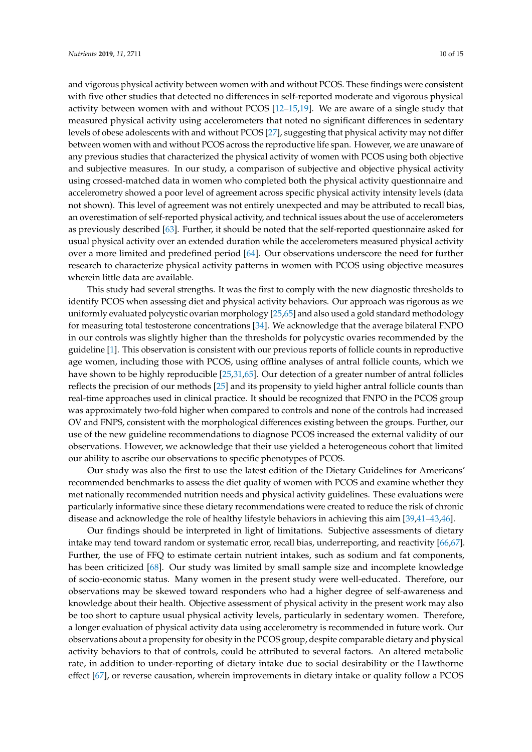and vigorous physical activity between women with and without PCOS. These findings were consistent with five other studies that detected no differences in self-reported moderate and vigorous physical activity between women with and without PCOS [\[12–](#page-11-4)[15](#page-11-7)[,19\]](#page-11-15). We are aware of a single study that measured physical activity using accelerometers that noted no significant differences in sedentary levels of obese adolescents with and without PCOS [\[27\]](#page-12-4), suggesting that physical activity may not differ between women with and without PCOS across the reproductive life span. However, we are unaware of any previous studies that characterized the physical activity of women with PCOS using both objective and subjective measures. In our study, a comparison of subjective and objective physical activity using crossed-matched data in women who completed both the physical activity questionnaire and accelerometry showed a poor level of agreement across specific physical activity intensity levels (data not shown). This level of agreement was not entirely unexpected and may be attributed to recall bias, an overestimation of self-reported physical activity, and technical issues about the use of accelerometers as previously described [\[63\]](#page-14-1). Further, it should be noted that the self-reported questionnaire asked for usual physical activity over an extended duration while the accelerometers measured physical activity over a more limited and predefined period [\[64\]](#page-14-2). Our observations underscore the need for further research to characterize physical activity patterns in women with PCOS using objective measures wherein little data are available.

This study had several strengths. It was the first to comply with the new diagnostic thresholds to identify PCOS when assessing diet and physical activity behaviors. Our approach was rigorous as we uniformly evaluated polycystic ovarian morphology [\[25,](#page-12-2)[65\]](#page-14-3) and also used a gold standard methodology for measuring total testosterone concentrations [\[34\]](#page-12-10). We acknowledge that the average bilateral FNPO in our controls was slightly higher than the thresholds for polycystic ovaries recommended by the guideline [\[1\]](#page-10-0). This observation is consistent with our previous reports of follicle counts in reproductive age women, including those with PCOS, using offline analyses of antral follicle counts, which we have shown to be highly reproducible [\[25](#page-12-2)[,31](#page-12-7)[,65\]](#page-14-3). Our detection of a greater number of antral follicles reflects the precision of our methods [\[25\]](#page-12-2) and its propensity to yield higher antral follicle counts than real-time approaches used in clinical practice. It should be recognized that FNPO in the PCOS group was approximately two-fold higher when compared to controls and none of the controls had increased OV and FNPS, consistent with the morphological differences existing between the groups. Further, our use of the new guideline recommendations to diagnose PCOS increased the external validity of our observations. However, we acknowledge that their use yielded a heterogeneous cohort that limited our ability to ascribe our observations to specific phenotypes of PCOS.

Our study was also the first to use the latest edition of the Dietary Guidelines for Americans' recommended benchmarks to assess the diet quality of women with PCOS and examine whether they met nationally recommended nutrition needs and physical activity guidelines. These evaluations were particularly informative since these dietary recommendations were created to reduce the risk of chronic disease and acknowledge the role of healthy lifestyle behaviors in achieving this aim [\[39,](#page-12-15)[41–](#page-12-17)[43](#page-13-0)[,46\]](#page-13-3).

Our findings should be interpreted in light of limitations. Subjective assessments of dietary intake may tend toward random or systematic error, recall bias, underreporting, and reactivity [\[66](#page-14-4)[,67\]](#page-14-5). Further, the use of FFQ to estimate certain nutrient intakes, such as sodium and fat components, has been criticized [\[68\]](#page-14-6). Our study was limited by small sample size and incomplete knowledge of socio-economic status. Many women in the present study were well-educated. Therefore, our observations may be skewed toward responders who had a higher degree of self-awareness and knowledge about their health. Objective assessment of physical activity in the present work may also be too short to capture usual physical activity levels, particularly in sedentary women. Therefore, a longer evaluation of physical activity data using accelerometry is recommended in future work. Our observations about a propensity for obesity in the PCOS group, despite comparable dietary and physical activity behaviors to that of controls, could be attributed to several factors. An altered metabolic rate, in addition to under-reporting of dietary intake due to social desirability or the Hawthorne effect [\[67\]](#page-14-5), or reverse causation, wherein improvements in dietary intake or quality follow a PCOS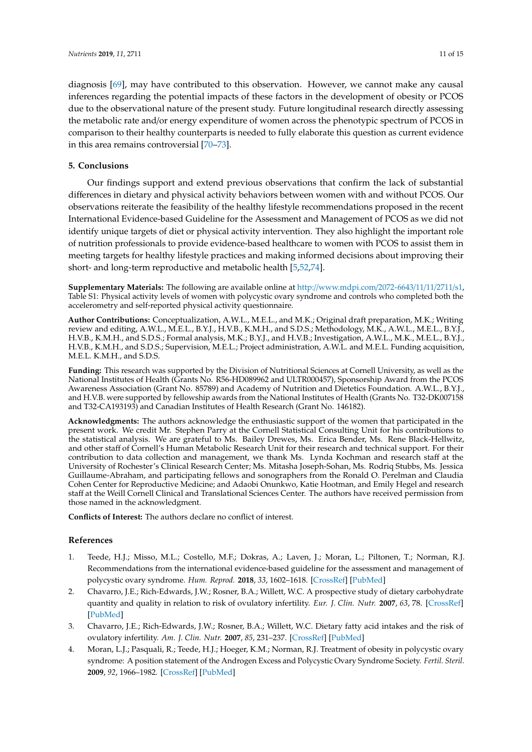diagnosis [\[69\]](#page-14-7), may have contributed to this observation. However, we cannot make any causal inferences regarding the potential impacts of these factors in the development of obesity or PCOS due to the observational nature of the present study. Future longitudinal research directly assessing the metabolic rate and/or energy expenditure of women across the phenotypic spectrum of PCOS in comparison to their healthy counterparts is needed to fully elaborate this question as current evidence in this area remains controversial [\[70](#page-14-8)[–73\]](#page-14-9).

# **5. Conclusions**

Our findings support and extend previous observations that confirm the lack of substantial differences in dietary and physical activity behaviors between women with and without PCOS. Our observations reiterate the feasibility of the healthy lifestyle recommendations proposed in the recent International Evidence-based Guideline for the Assessment and Management of PCOS as we did not identify unique targets of diet or physical activity intervention. They also highlight the important role of nutrition professionals to provide evidence-based healthcare to women with PCOS to assist them in meeting targets for healthy lifestyle practices and making informed decisions about improving their short- and long-term reproductive and metabolic health [\[5](#page-11-0)[,52](#page-13-9)[,74\]](#page-14-10).

**Supplementary Materials:** The following are available online at http://[www.mdpi.com](http://www.mdpi.com/2072-6643/11/11/2711/s1)/2072-6643/11/11/2711/s1, Table S1: Physical activity levels of women with polycystic ovary syndrome and controls who completed both the accelerometry and self-reported physical activity questionnaire.

**Author Contributions:** Conceptualization, A.W.L., M.E.L., and M.K.; Original draft preparation, M.K.; Writing review and editing, A.W.L., M.E.L., B.Y.J., H.V.B., K.M.H., and S.D.S.; Methodology, M.K., A.W.L., M.E.L., B.Y.J., H.V.B., K.M.H., and S.D.S.; Formal analysis, M.K.; B.Y.J., and H.V.B.; Investigation, A.W.L., M.K., M.E.L., B.Y.J., H.V.B., K.M.H., and S.D.S.; Supervision, M.E.L.; Project administration, A.W.L. and M.E.L. Funding acquisition, M.E.L. K.M.H., and S.D.S.

**Funding:** This research was supported by the Division of Nutritional Sciences at Cornell University, as well as the National Institutes of Health (Grants No. R56-HD089962 and ULTR000457), Sponsorship Award from the PCOS Awareness Association (Grant No. 85789) and Academy of Nutrition and Dietetics Foundation. A.W.L., B.Y.J., and H.V.B. were supported by fellowship awards from the National Institutes of Health (Grants No. T32-DK007158 and T32-CA193193) and Canadian Institutes of Health Research (Grant No. 146182).

**Acknowledgments:** The authors acknowledge the enthusiastic support of the women that participated in the present work. We credit Mr. Stephen Parry at the Cornell Statistical Consulting Unit for his contributions to the statistical analysis. We are grateful to Ms. Bailey Drewes, Ms. Erica Bender, Ms. Rene Black-Hellwitz, and other staff of Cornell's Human Metabolic Research Unit for their research and technical support. For their contribution to data collection and management, we thank Ms. Lynda Kochman and research staff at the University of Rochester's Clinical Research Center; Ms. Mitasha Joseph-Sohan, Ms. Rodriq Stubbs, Ms. Jessica Guillaume-Abraham, and participating fellows and sonographers from the Ronald O. Perelman and Claudia Cohen Center for Reproductive Medicine; and Adaobi Onunkwo, Katie Hootman, and Emily Hegel and research staff at the Weill Cornell Clinical and Translational Sciences Center. The authors have received permission from those named in the acknowledgment.

**Conflicts of Interest:** The authors declare no conflict of interest.

# **References**

- <span id="page-10-0"></span>1. Teede, H.J.; Misso, M.L.; Costello, M.F.; Dokras, A.; Laven, J.; Moran, L.; Piltonen, T.; Norman, R.J. Recommendations from the international evidence-based guideline for the assessment and management of polycystic ovary syndrome. *Hum. Reprod.* **2018**, *33*, 1602–1618. [\[CrossRef\]](http://dx.doi.org/10.1093/humrep/dey256) [\[PubMed\]](http://www.ncbi.nlm.nih.gov/pubmed/30052961)
- <span id="page-10-1"></span>2. Chavarro, J.E.; Rich-Edwards, J.W.; Rosner, B.A.; Willett, W.C. A prospective study of dietary carbohydrate quantity and quality in relation to risk of ovulatory infertility. *Eur. J. Clin. Nutr.* **2007**, *63*, 78. [\[CrossRef\]](http://dx.doi.org/10.1038/sj.ejcn.1602904) [\[PubMed\]](http://www.ncbi.nlm.nih.gov/pubmed/17882137)
- <span id="page-10-2"></span>3. Chavarro, J.E.; Rich-Edwards, J.W.; Rosner, B.A.; Willett, W.C. Dietary fatty acid intakes and the risk of ovulatory infertility. *Am. J. Clin. Nutr.* **2007**, *85*, 231–237. [\[CrossRef\]](http://dx.doi.org/10.1093/ajcn/85.1.231) [\[PubMed\]](http://www.ncbi.nlm.nih.gov/pubmed/17209201)
- <span id="page-10-3"></span>4. Moran, L.J.; Pasquali, R.; Teede, H.J.; Hoeger, K.M.; Norman, R.J. Treatment of obesity in polycystic ovary syndrome: A position statement of the Androgen Excess and Polycystic Ovary Syndrome Society. *Fertil. Steril.* **2009**, *92*, 1966–1982. [\[CrossRef\]](http://dx.doi.org/10.1016/j.fertnstert.2008.09.018) [\[PubMed\]](http://www.ncbi.nlm.nih.gov/pubmed/19062007)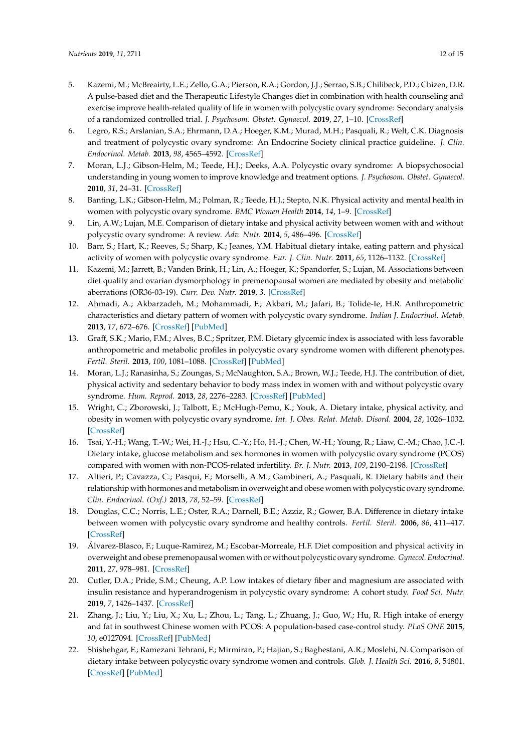- <span id="page-11-0"></span>5. Kazemi, M.; McBreairty, L.E.; Zello, G.A.; Pierson, R.A.; Gordon, J.J.; Serrao, S.B.; Chilibeck, P.D.; Chizen, D.R. A pulse-based diet and the Therapeutic Lifestyle Changes diet in combination with health counseling and exercise improve health-related quality of life in women with polycystic ovary syndrome: Secondary analysis of a randomized controlled trial. *J. Psychosom. Obstet. Gynaecol.* **2019**, *27*, 1–10. [\[CrossRef\]](http://dx.doi.org/10.1080/0167482X.2019.1666820)
- <span id="page-11-1"></span>6. Legro, R.S.; Arslanian, S.A.; Ehrmann, D.A.; Hoeger, K.M.; Murad, M.H.; Pasquali, R.; Welt, C.K. Diagnosis and treatment of polycystic ovary syndrome: An Endocrine Society clinical practice guideline. *J. Clin. Endocrinol. Metab.* **2013**, *98*, 4565–4592. [\[CrossRef\]](http://dx.doi.org/10.1210/jc.2013-2350)
- <span id="page-11-2"></span>7. Moran, L.J.; Gibson-Helm, M.; Teede, H.J.; Deeks, A.A. Polycystic ovary syndrome: A biopsychosocial understanding in young women to improve knowledge and treatment options. *J. Psychosom. Obstet. Gynaecol.* **2010**, *31*, 24–31. [\[CrossRef\]](http://dx.doi.org/10.3109/01674820903477593)
- 8. Banting, L.K.; Gibson-Helm, M.; Polman, R.; Teede, H.J.; Stepto, N.K. Physical activity and mental health in women with polycystic ovary syndrome. *BMC Women Health* **2014**, *14*, 1–9. [\[CrossRef\]](http://dx.doi.org/10.1186/1472-6874-14-51)
- <span id="page-11-16"></span>9. Lin, A.W.; Lujan, M.E. Comparison of dietary intake and physical activity between women with and without polycystic ovary syndrome: A review. *Adv. Nutr.* **2014**, *5*, 486–496. [\[CrossRef\]](http://dx.doi.org/10.3945/an.113.005561)
- <span id="page-11-10"></span>10. Barr, S.; Hart, K.; Reeves, S.; Sharp, K.; Jeanes, Y.M. Habitual dietary intake, eating pattern and physical activity of women with polycystic ovary syndrome. *Eur. J. Clin. Nutr.* **2011**, *65*, 1126–1132. [\[CrossRef\]](http://dx.doi.org/10.1038/ejcn.2011.81)
- <span id="page-11-3"></span>11. Kazemi, M.; Jarrett, B.; Vanden Brink, H.; Lin, A.; Hoeger, K.; Spandorfer, S.; Lujan, M. Associations between diet quality and ovarian dysmorphology in premenopausal women are mediated by obesity and metabolic aberrations (OR36-03-19). *Curr. Dev. Nutr.* **2019**, *3*. [\[CrossRef\]](http://dx.doi.org/10.1093/cdn/nzz035.OR36-03-19)
- <span id="page-11-4"></span>12. Ahmadi, A.; Akbarzadeh, M.; Mohammadi, F.; Akbari, M.; Jafari, B.; Tolide-Ie, H.R. Anthropometric characteristics and dietary pattern of women with polycystic ovary syndrome. *Indian J. Endocrinol. Metab.* **2013**, *17*, 672–676. [\[CrossRef\]](http://dx.doi.org/10.4103/2230-8210.113759) [\[PubMed\]](http://www.ncbi.nlm.nih.gov/pubmed/23961484)
- <span id="page-11-11"></span>13. Graff, S.K.; Mario, F.M.; Alves, B.C.; Spritzer, P.M. Dietary glycemic index is associated with less favorable anthropometric and metabolic profiles in polycystic ovary syndrome women with different phenotypes. *Fertil. Steril.* **2013**, *100*, 1081–1088. [\[CrossRef\]](http://dx.doi.org/10.1016/j.fertnstert.2013.06.005) [\[PubMed\]](http://www.ncbi.nlm.nih.gov/pubmed/23830153)
- <span id="page-11-14"></span>14. Moran, L.J.; Ranasinha, S.; Zoungas, S.; McNaughton, S.A.; Brown, W.J.; Teede, H.J. The contribution of diet, physical activity and sedentary behavior to body mass index in women with and without polycystic ovary syndrome. *Hum. Reprod.* **2013**, *28*, 2276–2283. [\[CrossRef\]](http://dx.doi.org/10.1093/humrep/det256) [\[PubMed\]](http://www.ncbi.nlm.nih.gov/pubmed/23771201)
- <span id="page-11-7"></span>15. Wright, C.; Zborowski, J.; Talbott, E.; McHugh-Pemu, K.; Youk, A. Dietary intake, physical activity, and obesity in women with polycystic ovary syndrome. *Int. J. Obes. Relat. Metab. Disord.* **2004**, *28*, 1026–1032. [\[CrossRef\]](http://dx.doi.org/10.1038/sj.ijo.0802661)
- <span id="page-11-5"></span>16. Tsai, Y.-H.; Wang, T.-W.; Wei, H.-J.; Hsu, C.-Y.; Ho, H.-J.; Chen, W.-H.; Young, R.; Liaw, C.-M.; Chao, J.C.-J. Dietary intake, glucose metabolism and sex hormones in women with polycystic ovary syndrome (PCOS) compared with women with non-PCOS-related infertility. *Br. J. Nutr.* **2013**, *109*, 2190–2198. [\[CrossRef\]](http://dx.doi.org/10.1017/S0007114512004369)
- <span id="page-11-6"></span>17. Altieri, P.; Cavazza, C.; Pasqui, F.; Morselli, A.M.; Gambineri, A.; Pasquali, R. Dietary habits and their relationship with hormones and metabolism in overweight and obese women with polycystic ovary syndrome. *Clin. Endocrinol. (Oxf.)* **2013**, *78*, 52–59. [\[CrossRef\]](http://dx.doi.org/10.1111/j.1365-2265.2012.04355.x)
- <span id="page-11-8"></span>18. Douglas, C.C.; Norris, L.E.; Oster, R.A.; Darnell, B.E.; Azziz, R.; Gower, B.A. Difference in dietary intake between women with polycystic ovary syndrome and healthy controls. *Fertil. Steril.* **2006**, *86*, 411–417. [\[CrossRef\]](http://dx.doi.org/10.1016/j.fertnstert.2005.12.054)
- <span id="page-11-15"></span>19. Álvarez-Blasco, F.; Luque-Ramirez, M.; Escobar-Morreale, H.F. Diet composition and physical activity in overweight and obese premenopausal women with or without polycystic ovary syndrome. *Gynecol. Endocrinol.* **2011**, *27*, 978–981. [\[CrossRef\]](http://dx.doi.org/10.3109/09513590.2011.579658)
- <span id="page-11-9"></span>20. Cutler, D.A.; Pride, S.M.; Cheung, A.P. Low intakes of dietary fiber and magnesium are associated with insulin resistance and hyperandrogenism in polycystic ovary syndrome: A cohort study. *Food Sci. Nutr.* **2019**, *7*, 1426–1437. [\[CrossRef\]](http://dx.doi.org/10.1002/fsn3.977)
- <span id="page-11-12"></span>21. Zhang, J.; Liu, Y.; Liu, X.; Xu, L.; Zhou, L.; Tang, L.; Zhuang, J.; Guo, W.; Hu, R. High intake of energy and fat in southwest Chinese women with PCOS: A population-based case-control study. *PLoS ONE* **2015**, *10*, e0127094. [\[CrossRef\]](http://dx.doi.org/10.1371/journal.pone.0127094) [\[PubMed\]](http://www.ncbi.nlm.nih.gov/pubmed/25993656)
- <span id="page-11-13"></span>22. Shishehgar, F.; Ramezani Tehrani, F.; Mirmiran, P.; Hajian, S.; Baghestani, A.R.; Moslehi, N. Comparison of dietary intake between polycystic ovary syndrome women and controls. *Glob. J. Health Sci.* **2016**, *8*, 54801. [\[CrossRef\]](http://dx.doi.org/10.5539/gjhs.v8n9p302) [\[PubMed\]](http://www.ncbi.nlm.nih.gov/pubmed/27157182)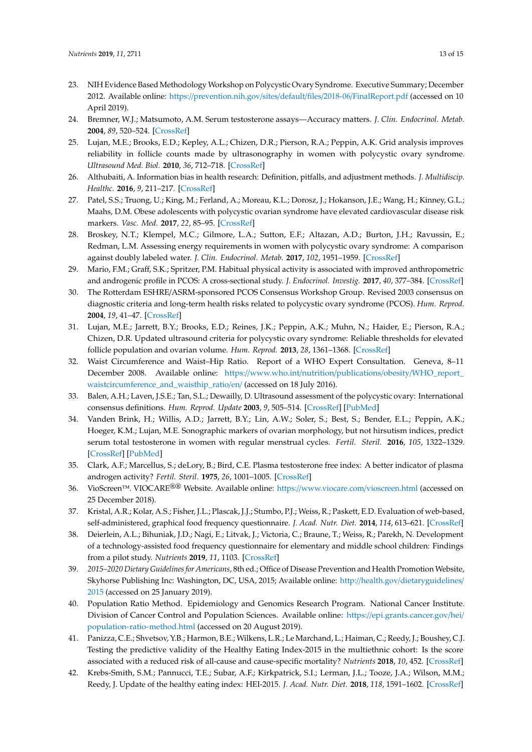- <span id="page-12-0"></span>23. NIH Evidence Based Methodology Workshop on Polycystic Ovary Syndrome. Executive Summary; December 2012. Available online: https://[prevention.nih.gov](https://prevention.nih.gov/sites/default/files/2018-06/FinalReport.pdf)/sites/default/files/2018-06/FinalReport.pdf (accessed on 10 April 2019).
- <span id="page-12-1"></span>24. Bremner, W.J.; Matsumoto, A.M. Serum testosterone assays—Accuracy matters. *J. Clin. Endocrinol. Metab.* **2004**, *89*, 520–524. [\[CrossRef\]](http://dx.doi.org/10.1210/jc.2003-032175)
- <span id="page-12-2"></span>25. Lujan, M.E.; Brooks, E.D.; Kepley, A.L.; Chizen, D.R.; Pierson, R.A.; Peppin, A.K. Grid analysis improves reliability in follicle counts made by ultrasonography in women with polycystic ovary syndrome. *Ultrasound Med. Biol.* **2010**, *36*, 712–718. [\[CrossRef\]](http://dx.doi.org/10.1016/j.ultrasmedbio.2010.02.008)
- <span id="page-12-3"></span>26. Althubaiti, A. Information bias in health research: Definition, pitfalls, and adjustment methods. *J. Multidiscip. Healthc.* **2016**, *9*, 211–217. [\[CrossRef\]](http://dx.doi.org/10.2147/JMDH.S104807)
- <span id="page-12-4"></span>27. Patel, S.S.; Truong, U.; King, M.; Ferland, A.; Moreau, K.L.; Dorosz, J.; Hokanson, J.E.; Wang, H.; Kinney, G.L.; Maahs, D.M. Obese adolescents with polycystic ovarian syndrome have elevated cardiovascular disease risk markers. *Vasc. Med.* **2017**, *22*, 85–95. [\[CrossRef\]](http://dx.doi.org/10.1177/1358863X16682107)
- 28. Broskey, N.T.; Klempel, M.C.; Gilmore, L.A.; Sutton, E.F.; Altazan, A.D.; Burton, J.H.; Ravussin, E.; Redman, L.M. Assessing energy requirements in women with polycystic ovary syndrome: A comparison against doubly labeled water. *J. Clin. Endocrinol. Metab.* **2017**, *102*, 1951–1959. [\[CrossRef\]](http://dx.doi.org/10.1210/jc.2017-00459)
- <span id="page-12-5"></span>29. Mario, F.M.; Graff, S.K.; Spritzer, P.M. Habitual physical activity is associated with improved anthropometric and androgenic profile in PCOS: A cross-sectional study. *J. Endocrinol. Investig.* **2017**, *40*, 377–384. [\[CrossRef\]](http://dx.doi.org/10.1007/s40618-016-0570-1)
- <span id="page-12-6"></span>30. The Rotterdam ESHRE/ASRM-sponsored PCOS Consensus Workshop Group. Revised 2003 consensus on diagnostic criteria and long-term health risks related to polycystic ovary syndrome (PCOS). *Hum. Reprod.* **2004**, *19*, 41–47. [\[CrossRef\]](http://dx.doi.org/10.1093/humrep/deh098)
- <span id="page-12-7"></span>31. Lujan, M.E.; Jarrett, B.Y.; Brooks, E.D.; Reines, J.K.; Peppin, A.K.; Muhn, N.; Haider, E.; Pierson, R.A.; Chizen, D.R. Updated ultrasound criteria for polycystic ovary syndrome: Reliable thresholds for elevated follicle population and ovarian volume. *Hum. Reprod.* **2013**, *28*, 1361–1368. [\[CrossRef\]](http://dx.doi.org/10.1093/humrep/det062)
- <span id="page-12-8"></span>32. Waist Circumference and Waist–Hip Ratio. Report of a WHO Expert Consultation. Geneva, 8–11 December 2008. Available online: https://www.who.int/nutrition/publications/obesity/[WHO\\_report\\_](https://www.who.int/nutrition/publications/obesity/WHO_report_waistcircumference_and_waisthip_ratio/en/) [waistcircumference\\_and\\_waisthip\\_ratio](https://www.who.int/nutrition/publications/obesity/WHO_report_waistcircumference_and_waisthip_ratio/en/)/en/ (accessed on 18 July 2016).
- <span id="page-12-9"></span>33. Balen, A.H.; Laven, J.S.E.; Tan, S.L.; Dewailly, D. Ultrasound assessment of the polycystic ovary: International consensus definitions. *Hum. Reprod. Update* **2003**, *9*, 505–514. [\[CrossRef\]](http://dx.doi.org/10.1093/humupd/dmg044) [\[PubMed\]](http://www.ncbi.nlm.nih.gov/pubmed/14714587)
- <span id="page-12-10"></span>34. Vanden Brink, H.; Willis, A.D.; Jarrett, B.Y.; Lin, A.W.; Soler, S.; Best, S.; Bender, E.L.; Peppin, A.K.; Hoeger, K.M.; Lujan, M.E. Sonographic markers of ovarian morphology, but not hirsutism indices, predict serum total testosterone in women with regular menstrual cycles. *Fertil. Steril.* **2016**, *105*, 1322–1329. [\[CrossRef\]](http://dx.doi.org/10.1016/j.fertnstert.2015.12.136) [\[PubMed\]](http://www.ncbi.nlm.nih.gov/pubmed/26794423)
- <span id="page-12-11"></span>35. Clark, A.F.; Marcellus, S.; deLory, B.; Bird, C.E. Plasma testosterone free index: A better indicator of plasma androgen activity? *Fertil. Steril.* **1975**, *26*, 1001–1005. [\[CrossRef\]](http://dx.doi.org/10.1016/S0015-0282(16)41415-9)
- <span id="page-12-12"></span>36. VioScreen™. VIOCARE®® Website. Available online: https://[www.viocare.com](https://www.viocare.com/vioscreen.html)/vioscreen.html (accessed on 25 December 2018).
- <span id="page-12-13"></span>37. Kristal, A.R.; Kolar, A.S.; Fisher, J.L.; Plascak, J.J.; Stumbo, P.J.; Weiss, R.; Paskett, E.D. Evaluation of web-based, self-administered, graphical food frequency questionnaire. *J. Acad. Nutr. Diet.* **2014**, *114*, 613–621. [\[CrossRef\]](http://dx.doi.org/10.1016/j.jand.2013.11.017)
- <span id="page-12-14"></span>38. Deierlein, A.L.; Bihuniak, J.D.; Nagi, E.; Litvak, J.; Victoria, C.; Braune, T.; Weiss, R.; Parekh, N. Development of a technology-assisted food frequency questionnaire for elementary and middle school children: Findings from a pilot study. *Nutrients* **2019**, *11*, 1103. [\[CrossRef\]](http://dx.doi.org/10.3390/nu11051103)
- <span id="page-12-15"></span>39. *2015–2020 Dietary Guidelines for Americans*, 8th ed.; Office of Disease Prevention and Health Promotion Website, Skyhorse Publishing Inc: Washington, DC, USA, 2015; Available online: http://health.gov/[dietaryguidelines](http://health.gov/dietaryguidelines/2015)/ [2015](http://health.gov/dietaryguidelines/2015) (accessed on 25 January 2019).
- <span id="page-12-16"></span>40. Population Ratio Method. Epidemiology and Genomics Research Program. National Cancer Institute. Division of Cancer Control and Population Sciences. Available online: https://[epi.grants.cancer.gov](https://epi.grants.cancer.gov/hei/population-ratio-method.html)/hei/ [population-ratio-method.html](https://epi.grants.cancer.gov/hei/population-ratio-method.html) (accessed on 20 August 2019).
- <span id="page-12-17"></span>41. Panizza, C.E.; Shvetsov, Y.B.; Harmon, B.E.; Wilkens, L.R.; Le Marchand, L.; Haiman, C.; Reedy, J.; Boushey, C.J. Testing the predictive validity of the Healthy Eating Index-2015 in the multiethnic cohort: Is the score associated with a reduced risk of all-cause and cause-specific mortality? *Nutrients* **2018**, *10*, 452. [\[CrossRef\]](http://dx.doi.org/10.3390/nu10040452)
- 42. Krebs-Smith, S.M.; Pannucci, T.E.; Subar, A.F.; Kirkpatrick, S.I.; Lerman, J.L.; Tooze, J.A.; Wilson, M.M.; Reedy, J. Update of the healthy eating index: HEI-2015. *J. Acad. Nutr. Diet.* **2018**, *118*, 1591–1602. [\[CrossRef\]](http://dx.doi.org/10.1016/j.jand.2018.05.021)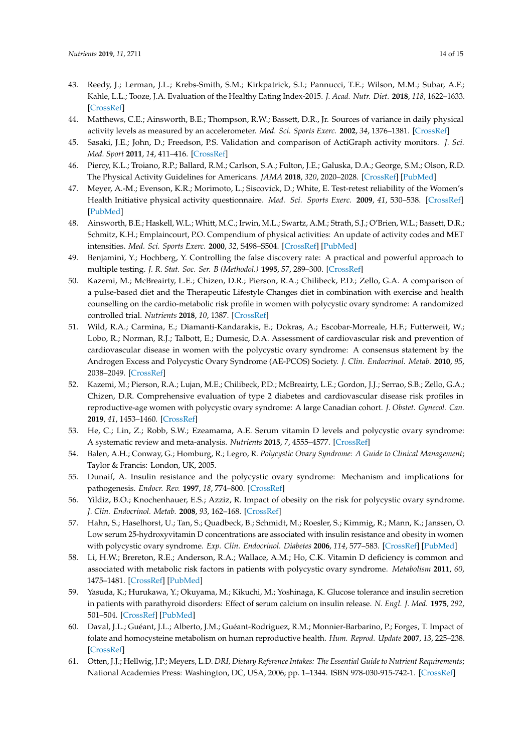- <span id="page-13-0"></span>43. Reedy, J.; Lerman, J.L.; Krebs-Smith, S.M.; Kirkpatrick, S.I.; Pannucci, T.E.; Wilson, M.M.; Subar, A.F.; Kahle, L.L.; Tooze, J.A. Evaluation of the Healthy Eating Index-2015. *J. Acad. Nutr. Diet.* **2018**, *118*, 1622–1633. [\[CrossRef\]](http://dx.doi.org/10.1016/j.jand.2018.05.019)
- <span id="page-13-1"></span>44. Matthews, C.E.; Ainsworth, B.E.; Thompson, R.W.; Bassett, D.R., Jr. Sources of variance in daily physical activity levels as measured by an accelerometer. *Med. Sci. Sports Exerc.* **2002**, *34*, 1376–1381. [\[CrossRef\]](http://dx.doi.org/10.1097/00005768-200208000-00021)
- <span id="page-13-2"></span>45. Sasaki, J.E.; John, D.; Freedson, P.S. Validation and comparison of ActiGraph activity monitors. *J. Sci. Med. Sport* **2011**, *14*, 411–416. [\[CrossRef\]](http://dx.doi.org/10.1016/j.jsams.2011.04.003)
- <span id="page-13-3"></span>46. Piercy, K.L.; Troiano, R.P.; Ballard, R.M.; Carlson, S.A.; Fulton, J.E.; Galuska, D.A.; George, S.M.; Olson, R.D. The Physical Activity Guidelines for Americans. *JAMA* **2018**, *320*, 2020–2028. [\[CrossRef\]](http://dx.doi.org/10.1001/jama.2018.14854) [\[PubMed\]](http://www.ncbi.nlm.nih.gov/pubmed/30418471)
- <span id="page-13-4"></span>47. Meyer, A.-M.; Evenson, K.R.; Morimoto, L.; Siscovick, D.; White, E. Test-retest reliability of the Women's Health Initiative physical activity questionnaire. *Med. Sci. Sports Exerc.* **2009**, *41*, 530–538. [\[CrossRef\]](http://dx.doi.org/10.1249/MSS.0b013e31818ace55) [\[PubMed\]](http://www.ncbi.nlm.nih.gov/pubmed/19204598)
- <span id="page-13-5"></span>48. Ainsworth, B.E.; Haskell, W.L.; Whitt, M.C.; Irwin, M.L.; Swartz, A.M.; Strath, S.J.; O'Brien, W.L.; Bassett, D.R.; Schmitz, K.H.; Emplaincourt, P.O. Compendium of physical activities: An update of activity codes and MET intensities. *Med. Sci. Sports Exerc.* **2000**, *32*, S498–S504. [\[CrossRef\]](http://dx.doi.org/10.1097/00005768-200009001-00009) [\[PubMed\]](http://www.ncbi.nlm.nih.gov/pubmed/10993420)
- <span id="page-13-6"></span>49. Benjamini, Y.; Hochberg, Y. Controlling the false discovery rate: A practical and powerful approach to multiple testing. *J. R. Stat. Soc. Ser. B (Methodol.)* **1995**, *57*, 289–300. [\[CrossRef\]](http://dx.doi.org/10.1111/j.2517-6161.1995.tb02031.x)
- <span id="page-13-7"></span>50. Kazemi, M.; McBreairty, L.E.; Chizen, D.R.; Pierson, R.A.; Chilibeck, P.D.; Zello, G.A. A comparison of a pulse-based diet and the Therapeutic Lifestyle Changes diet in combination with exercise and health counselling on the cardio-metabolic risk profile in women with polycystic ovary syndrome: A randomized controlled trial. *Nutrients* **2018**, *10*, 1387. [\[CrossRef\]](http://dx.doi.org/10.3390/nu10101387)
- <span id="page-13-8"></span>51. Wild, R.A.; Carmina, E.; Diamanti-Kandarakis, E.; Dokras, A.; Escobar-Morreale, H.F.; Futterweit, W.; Lobo, R.; Norman, R.J.; Talbott, E.; Dumesic, D.A. Assessment of cardiovascular risk and prevention of cardiovascular disease in women with the polycystic ovary syndrome: A consensus statement by the Androgen Excess and Polycystic Ovary Syndrome (AE-PCOS) Society. *J. Clin. Endocrinol. Metab.* **2010**, *95*, 2038–2049. [\[CrossRef\]](http://dx.doi.org/10.1210/jc.2009-2724)
- <span id="page-13-9"></span>52. Kazemi, M.; Pierson, R.A.; Lujan, M.E.; Chilibeck, P.D.; McBreairty, L.E.; Gordon, J.J.; Serrao, S.B.; Zello, G.A.; Chizen, D.R. Comprehensive evaluation of type 2 diabetes and cardiovascular disease risk profiles in reproductive-age women with polycystic ovary syndrome: A large Canadian cohort. *J. Obstet. Gynecol. Can.* **2019**, *41*, 1453–1460. [\[CrossRef\]](http://dx.doi.org/10.1016/j.jogc.2018.11.026)
- <span id="page-13-10"></span>53. He, C.; Lin, Z.; Robb, S.W.; Ezeamama, A.E. Serum vitamin D levels and polycystic ovary syndrome: A systematic review and meta-analysis. *Nutrients* **2015**, *7*, 4555–4577. [\[CrossRef\]](http://dx.doi.org/10.3390/nu7064555)
- <span id="page-13-11"></span>54. Balen, A.H.; Conway, G.; Homburg, R.; Legro, R. *Polycystic Ovary Syndrome: A Guide to Clinical Management*; Taylor & Francis: London, UK, 2005.
- 55. Dunaif, A. Insulin resistance and the polycystic ovary syndrome: Mechanism and implications for pathogenesis. *Endocr. Rev.* **1997**, *18*, 774–800. [\[CrossRef\]](http://dx.doi.org/10.1210/edrv.18.6.0318)
- 56. Yildiz, B.O.; Knochenhauer, E.S.; Azziz, R. Impact of obesity on the risk for polycystic ovary syndrome. *J. Clin. Endocrinol. Metab.* **2008**, *93*, 162–168. [\[CrossRef\]](http://dx.doi.org/10.1210/jc.2007-1834)
- 57. Hahn, S.; Haselhorst, U.; Tan, S.; Quadbeck, B.; Schmidt, M.; Roesler, S.; Kimmig, R.; Mann, K.; Janssen, O. Low serum 25-hydroxyvitamin D concentrations are associated with insulin resistance and obesity in women with polycystic ovary syndrome. *Exp. Clin. Endocrinol. Diabetes* **2006**, *114*, 577–583. [\[CrossRef\]](http://dx.doi.org/10.1055/s-2006-948308) [\[PubMed\]](http://www.ncbi.nlm.nih.gov/pubmed/17177140)
- 58. Li, H.W.; Brereton, R.E.; Anderson, R.A.; Wallace, A.M.; Ho, C.K. Vitamin D deficiency is common and associated with metabolic risk factors in patients with polycystic ovary syndrome. *Metabolism* **2011**, *60*, 1475–1481. [\[CrossRef\]](http://dx.doi.org/10.1016/j.metabol.2011.03.002) [\[PubMed\]](http://www.ncbi.nlm.nih.gov/pubmed/21550088)
- <span id="page-13-12"></span>59. Yasuda, K.; Hurukawa, Y.; Okuyama, M.; Kikuchi, M.; Yoshinaga, K. Glucose tolerance and insulin secretion in patients with parathyroid disorders: Effect of serum calcium on insulin release. *N. Engl. J. Med.* **1975**, *292*, 501–504. [\[CrossRef\]](http://dx.doi.org/10.1056/NEJM197503062921003) [\[PubMed\]](http://www.ncbi.nlm.nih.gov/pubmed/1117893)
- <span id="page-13-13"></span>60. Daval, J.L.; Guéant, J.L.; Alberto, J.M.; Guéant-Rodriguez, R.M.; Monnier-Barbarino, P.; Forges, T. Impact of folate and homocysteine metabolism on human reproductive health. *Hum. Reprod. Update* **2007**, *13*, 225–238. [\[CrossRef\]](http://dx.doi.org/10.1093/humupd/dml063)
- <span id="page-13-14"></span>61. Otten, J.J.; Hellwig, J.P.; Meyers, L.D. *DRI, Dietary Reference Intakes: The Essential Guide to Nutrient Requirements*; National Academies Press: Washington, DC, USA, 2006; pp. 1–1344. ISBN 978-030-915-742-1. [\[CrossRef\]](http://dx.doi.org/10.17226/11537)